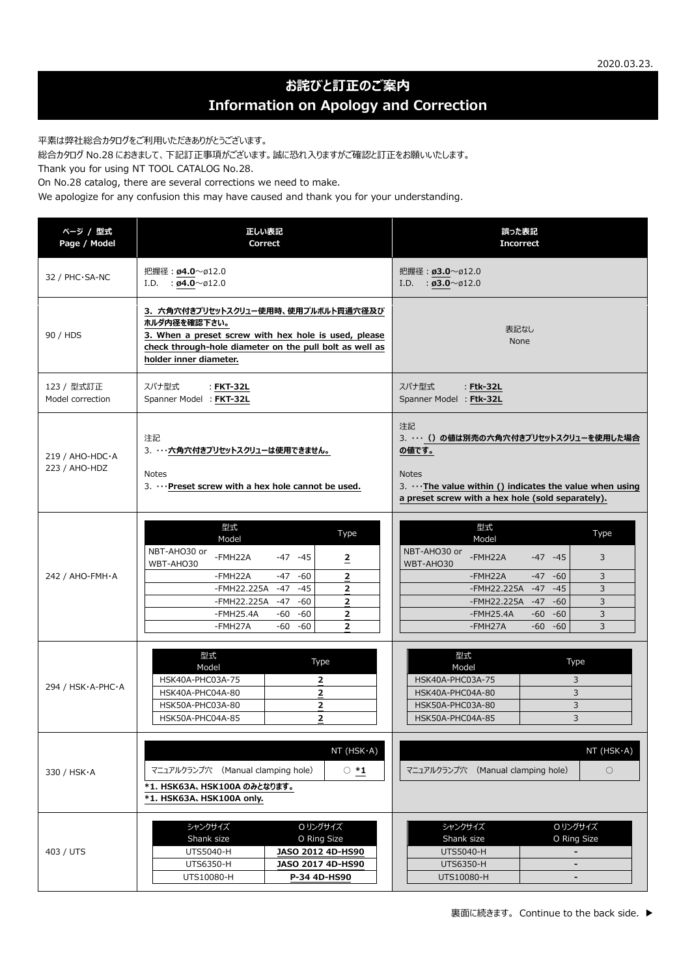## **お詫びと訂正のご案内 Information on Apology and Correction**

平素は弊社総合カタログをご利用いただきありがとうございます。

総合カタログ No.28 におきまして、下記訂正事項がございます。誠に恐れ入りますがご確認と訂正をお願いいたします。

Thank you for using NT TOOL CATALOG No.28.

On No.28 catalog, there are several corrections we need to make.

We apologize for any confusion this may have caused and thank you for your understanding.

| ページ / 型式<br>Page / Model                  | 正しい表記<br>Correct                                                                                                                                                                                                                                                                                                                    | 誤った表記<br><b>Incorrect</b>                                                                                                                                                                                                                                                                                           |
|-------------------------------------------|-------------------------------------------------------------------------------------------------------------------------------------------------------------------------------------------------------------------------------------------------------------------------------------------------------------------------------------|---------------------------------------------------------------------------------------------------------------------------------------------------------------------------------------------------------------------------------------------------------------------------------------------------------------------|
| 32 / PHC·SA-NC                            | 把握径: ø4.0~ø12.0<br>I.D. : $\emptyset$ 4.0 ~ 012.0                                                                                                                                                                                                                                                                                   | 把握径: ø3.0~ø12.0<br>I.D. : $\emptyset$ 3.0 ~ $\emptyset$ 12.0                                                                                                                                                                                                                                                        |
| 90 / HDS                                  | 3. 六角穴付きプリセットスクリュー使用時、使用プルボルト貫通穴径及び<br>ホルダ内径を確認下さい。<br>3. When a preset screw with hex hole is used, please<br>check through-hole diameter on the pull bolt as well as<br>holder inner diameter.                                                                                                                                    | 表記なし<br>None                                                                                                                                                                                                                                                                                                        |
| 123 / 型式訂正<br>Model correction            | スパナ型式<br>: FKT-32L<br>Spanner Model : FKT-32L                                                                                                                                                                                                                                                                                       | スパナ型式<br>: Ftk-32L<br>Spanner Model : Ftk-32L                                                                                                                                                                                                                                                                       |
| $219/$ AHO-HDC $\cdot$ A<br>223 / AHO-HDZ | 注記<br>3. ・・・六角穴付きプリセットスクリューは使用できません。<br><b>Notes</b><br>3.  Preset screw with a hex hole cannot be used.                                                                                                                                                                                                                            | 注記<br>3.  () の値は別売の六角穴付きプリセットスクリューを使用した場合<br>の値です。<br><b>Notes</b><br>3. $\cdots$ The value within () indicates the value when using<br>a preset screw with a hex hole (sold separately).                                                                                                                           |
| 242 / AHO-FMH·A                           | 型式<br>Type<br>Model<br>NBT-AHO30 or<br>-FMH22A<br>$-47 - 45$<br>2<br>WBT-AHO30<br>$-60$<br>$\overline{2}$<br>-FMH22A<br>$-47$<br>$-45$<br>-FMH22.225A<br>$-47$<br>$\overline{2}$<br>-FMH22.225A<br>$-47$<br>$-60$<br>$\overline{2}$<br>$-FMH25.4A$<br>$-60$<br>-60<br>$\overline{2}$<br>$-60$<br>$\overline{2}$<br>-FMH27A<br>$-60$ | 型式<br>Type<br>Model<br>NBT-AHO30 or<br>$\overline{3}$<br>-FMH22A<br>$-47 - 45$<br>WBT-AHO30<br>3<br>-FMH22A<br>$-47$<br>$-60$<br>-FMH22.225A<br>$-47$<br>$\overline{3}$<br>$-45$<br>-FMH22.225A -47<br>$-60$<br>$\overline{3}$<br>$-FMH25.4A$<br>$-60$<br>$-60$<br>3<br>-FMH27A<br>$\overline{3}$<br>$-60$<br>$-60$ |
| 294 / HSK·A-PHC·A                         | 型式<br>Type<br>Model<br>HSK40A-PHC03A-75<br>$\mathbf{z}$<br>$\overline{2}$<br>HSK40A-PHC04A-80<br>HSK50A-PHC03A-80<br>$\overline{2}$<br>$\overline{2}$<br>HSK50A-PHC04A-85                                                                                                                                                           | 型式<br>Type<br>Model<br>HSK40A-PHC03A-75<br>3<br>3<br>HSK40A-PHC04A-80<br>HSK50A-PHC03A-80<br>3<br>HSK50A-PHC04A-85<br>3                                                                                                                                                                                             |
| 330 / HSK · A                             | NT(HSK·A)<br>マニュアルクランプ穴 (Manual clamping hole)<br>$\circ$ *1<br>*1. HSK63A、HSK100A のみとなります。<br>*1. HSK63A, HSK100A only.                                                                                                                                                                                                            | NT(HSK·A)<br>マニュアルクランプ穴 (Manual clamping hole)<br>$\bigcirc$                                                                                                                                                                                                                                                        |
| 403 / UTS                                 | 0リングサイズ<br>シャンクサイズ<br>Shank size<br>O Ring Size<br>JASO 2012 4D-HS90<br>UTS5040-H<br>UTS6350-H<br>JASO 2017 4D-HS90<br>UTS10080-H<br>P-34 4D-HS90                                                                                                                                                                                   | シャンクサイズ<br><b>Oリングサイズ</b><br>Shank size<br>O Ring Size<br>UTS5040-H<br>$\overline{\phantom{a}}$<br>UTS6350-H<br>UTS10080-H<br>$\overline{a}$                                                                                                                                                                        |